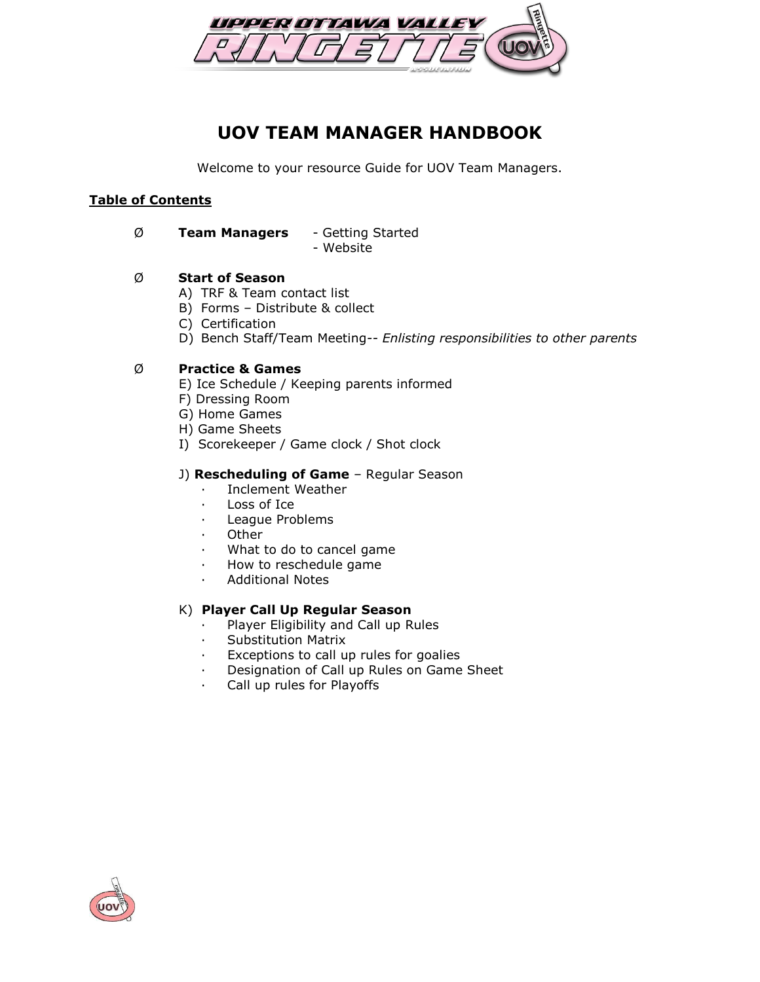

# **UOV TEAM MANAGER HANDBOOK**

Welcome to your resource Guide for UOV Team Managers.

## **Table of Contents**

### Ø **Team Managers** - Getting Started

- Website

## Ø **Start of Season**

- A) TRF & Team contact list
- B) Forms Distribute & collect
- C) Certification
- D) Bench Staff/Team Meeting*-- Enlisting responsibilities to other parents*

## Ø **Practice & Games**

- E) Ice Schedule / Keeping parents informed
- F) Dressing Room
- G) Home Games
- H) Game Sheets
- I) Scorekeeper / Game clock / Shot clock

#### J) **Rescheduling of Game** – Regular Season

- Inclement Weather
- Loss of Ice
- · League Problems
- **Other**
- What to do to cancel game
- · How to reschedule game
- · Additional Notes

## K) **Player Call Up Regular Season**

- Player Eligibility and Call up Rules
- · Substitution Matrix
- Exceptions to call up rules for goalies
- · Designation of Call up Rules on Game Sheet
- Call up rules for Playoffs

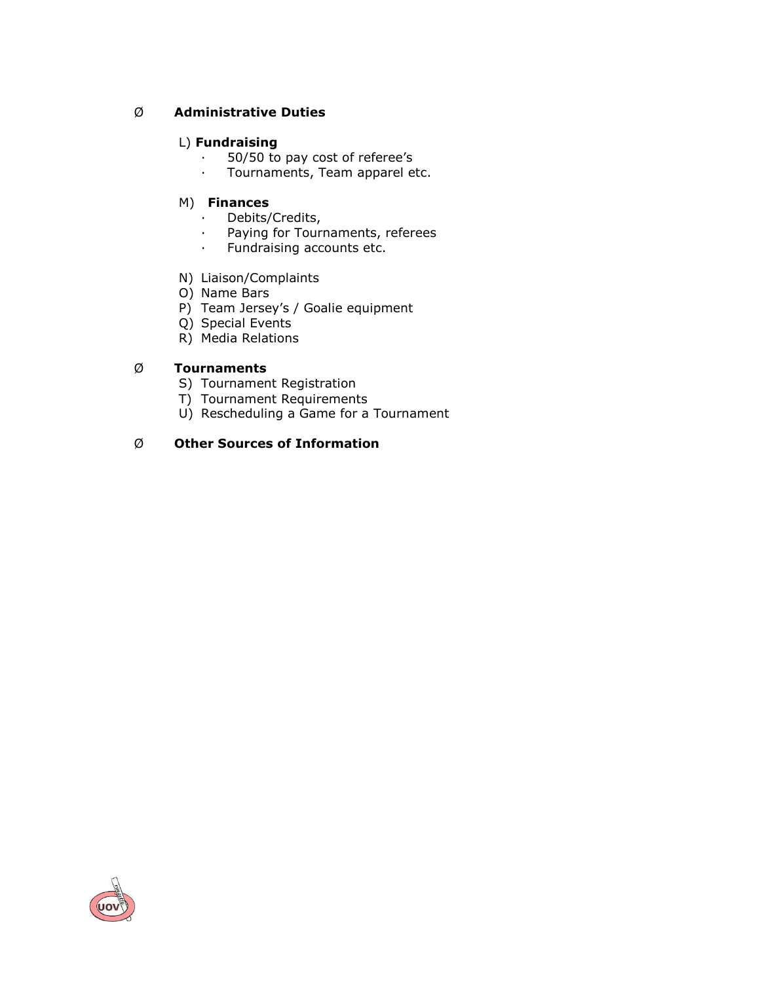## Ø **Administrative Duties**

## L) **Fundraising**

- · 50/50 to pay cost of referee's<br>· Tournaments. Team apparel e
- Tournaments, Team apparel etc.

#### M) **Finances**

- · Debits/Credits,
- · Paying for Tournaments, referees
- · Fundraising accounts etc.
- N) Liaison/Complaints
- O) Name Bars
- P) Team Jersey's / Goalie equipment
- Q) Special Events
- R) Media Relations

## Ø **Tournaments**

- S) Tournament Registration
- T) Tournament Requirements
- U) Rescheduling a Game for a Tournament

## Ø **Other Sources of Information**

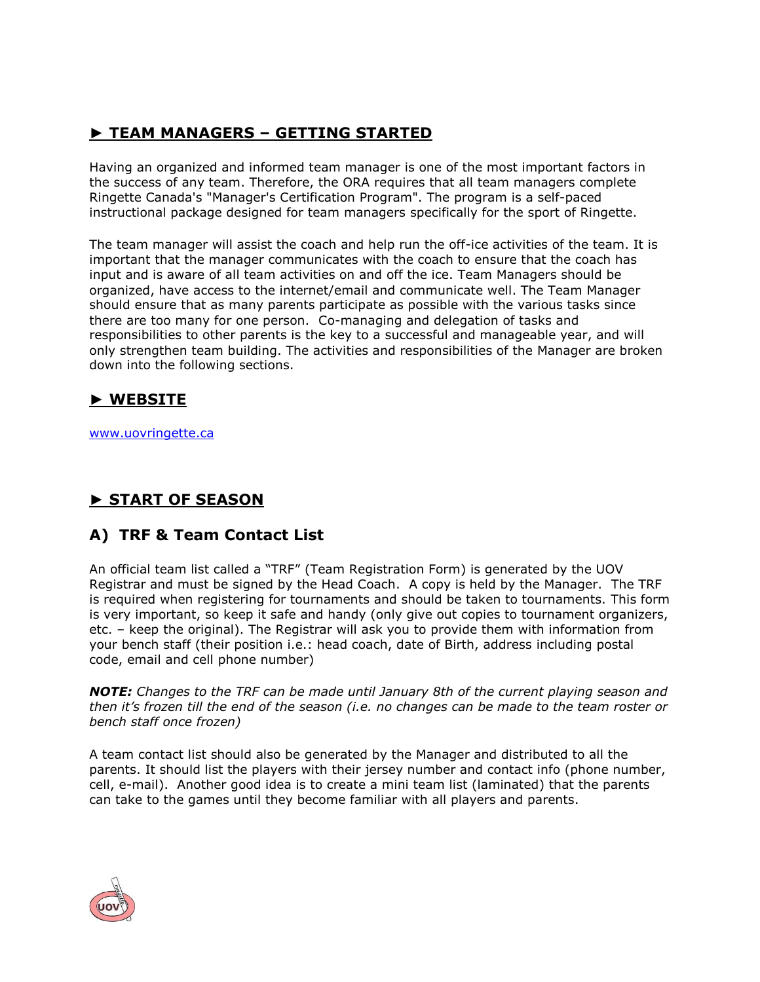## **► TEAM MANAGERS – GETTING STARTED**

Having an organized and informed team manager is one of the most important factors in the success of any team. Therefore, the ORA requires that all team managers complete Ringette Canada's "Manager's Certification Program". The program is a self-paced instructional package designed for team managers specifically for the sport of Ringette.

The team manager will assist the coach and help run the off-ice activities of the team. It is important that the manager communicates with the coach to ensure that the coach has input and is aware of all team activities on and off the ice. Team Managers should be organized, have access to the internet/email and communicate well. The Team Manager should ensure that as many parents participate as possible with the various tasks since there are too many for one person. Co-managing and delegation of tasks and responsibilities to other parents is the key to a successful and manageable year, and will only strengthen team building. The activities and responsibilities of the Manager are broken down into the following sections.

## **► WEBSITE**

[www.uovringette.ca](http://www.uovringette.ca/)

# **► START OF SEASON**

## **A) TRF & Team Contact List**

An official team list called a "TRF" (Team Registration Form) is generated by the UOV Registrar and must be signed by the Head Coach. A copy is held by the Manager. The TRF is required when registering for tournaments and should be taken to tournaments. This form is very important, so keep it safe and handy (only give out copies to tournament organizers, etc. – keep the original). The Registrar will ask you to provide them with information from your bench staff (their position i.e.: head coach, date of Birth, address including postal code, email and cell phone number)

*NOTE: Changes to the TRF can be made until January 8th of the current playing season and then it's frozen till the end of the season (i.e. no changes can be made to the team roster or bench staff once frozen)*

A team contact list should also be generated by the Manager and distributed to all the parents. It should list the players with their jersey number and contact info (phone number, cell, e-mail). Another good idea is to create a mini team list (laminated) that the parents can take to the games until they become familiar with all players and parents.

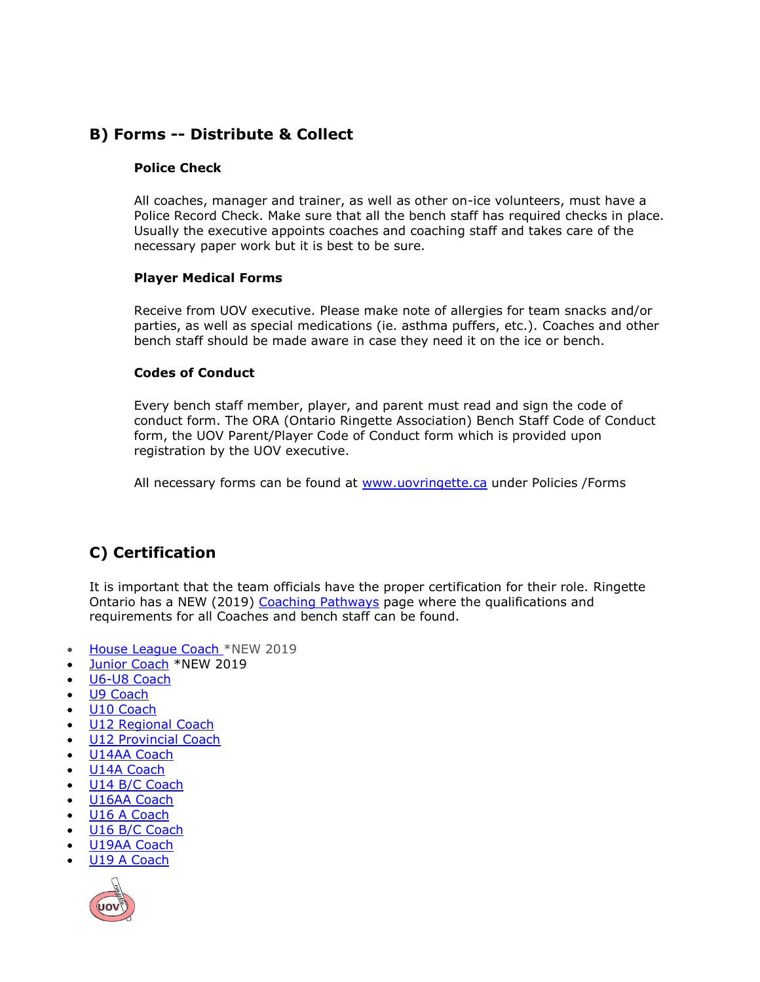## **B) Forms -- Distribute & Collect**

#### **Police Check**

All coaches, manager and trainer, as well as other on-ice volunteers, must have a Police Record Check. Make sure that all the bench staff has required checks in place. Usually the executive appoints coaches and coaching staff and takes care of the necessary paper work but it is best to be sure.

#### **Player Medical Forms**

Receive from UOV executive. Please make note of allergies for team snacks and/or parties, as well as special medications (ie. asthma puffers, etc.). Coaches and other bench staff should be made aware in case they need it on the ice or bench.

#### **Codes of Conduct**

Every bench staff member, player, and parent must read and sign the code of conduct form. The ORA (Ontario Ringette Association) Bench Staff Code of Conduct form, the UOV Parent/Player Code of Conduct form which is provided upon registration by the UOV executive.

All necessary forms can be found at [www.uovringette.ca](http://www.uovringette.ca/) under Policies /Forms

# **C) Certification**

It is important that the team officials have the proper certification for their role. Ringette Ontario has a NEW (2019) [Coaching Pathways](https://ringetteontario.com/the-people/coaches/coaching-pathways/) page where the qualifications and requirements for all Coaches and bench staff can be found.

- [House League Coach](https://ringetteontario.com/wp-content/uploads/2019/08/Houseleague-Coach-Pathway-2019.pdf) \*NEW 2019
- [Junior Coach](https://ringetteontario.com/wp-content/uploads/2019/08/Houseleague-Coach-Pathway-2019.pdf) \*NEW 2019
- [U6-U8 Coach](https://ringetteontario.com/wp-content/uploads/2019/08/U6-U8-Coach-Pathway-2019.pdf)
- [U9 Coach](https://ringetteontario.com/wp-content/uploads/2019/08/U9-Coach-Pathway-2019.pdf)
- [U10 Coach](https://ringetteontario.com/wp-content/uploads/2019/08/U10-Coach-Pathway-2019.pdf)
- [U12 Regional Coach](https://ringetteontario.com/wp-content/uploads/2019/08/U12-Regional-Coach-Pathway-2019.pdf)
- [U12 Provincial Coach](https://ringetteontario.com/wp-content/uploads/2019/07/U12-Provincial-Coach-Pathway-2019.pdf)
- [U14AA Coach](https://ringetteontario.com/wp-content/uploads/2019/10/U14AA-Coach-Pathway-2019-20.pdf)
- [U14A Coach](https://ringetteontario.com/wp-content/uploads/2019/07/U14A-Coach-Pathway-2019.pdf)
- [U14 B/C Coach](https://ringetteontario.com/wp-content/uploads/2019/08/U14-BC-Coach-Pathway-2019.pdf)
- [U16AA Coach](https://ringetteontario.com/wp-content/uploads/2019/10/U16AA-Coach-Pathway-2019-20.pdf)
- [U16 A Coach](https://ringetteontario.com/wp-content/uploads/2019/08/U16A-Coach-Pathway-2019-1.pdf)
- [U16 B/C Coach](https://ringetteontario.com/wp-content/uploads/2019/08/U16-BC-Coach-Pathway-2019.pdf)
- [U19AA Coach](https://ringetteontario.com/wp-content/uploads/2019/10/U19AA-Coach-Pathway-2019-20.pdf)
- [U19 A Coach](https://ringetteontario.com/wp-content/uploads/2019/08/U19A-Coach-Pathway-2019.pdf)

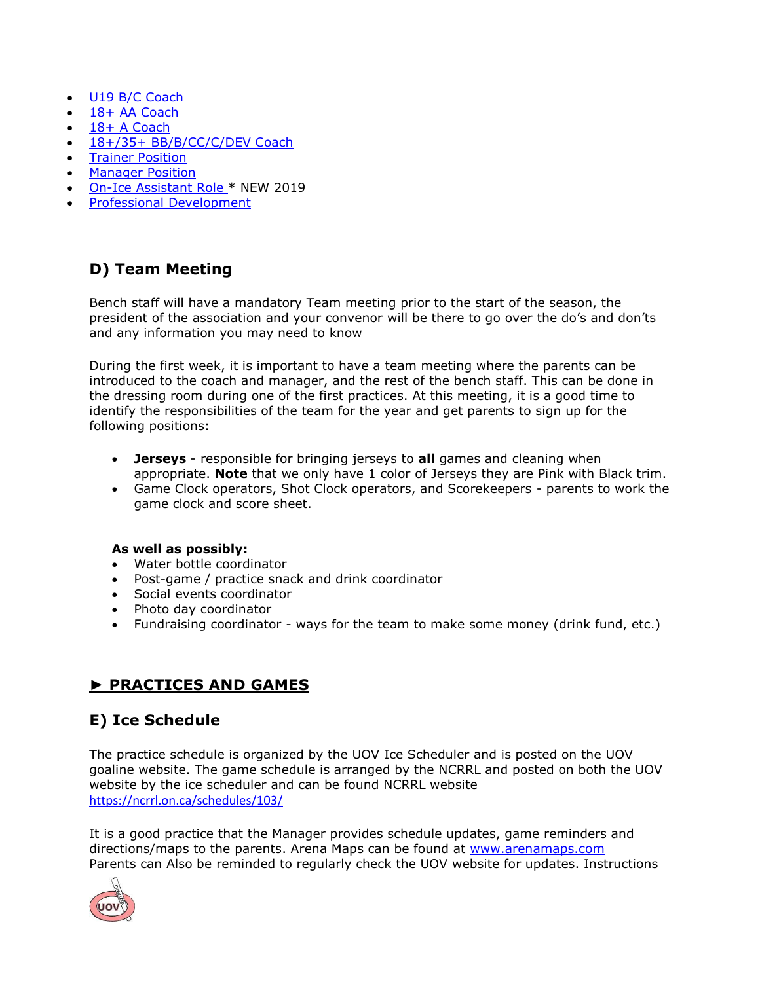- [U19 B/C Coach](https://ringetteontario.com/wp-content/uploads/2019/08/U19-BC-Coach-Pathway-2019.pdf)
- [18+ AA Coach](https://ringetteontario.com/wp-content/uploads/2019/07/18AA-Coach-Pathway-2019.pdf)
- [18+ A Coach](https://ringetteontario.com/wp-content/uploads/2019/07/18A-Coach-Pathway-2019.pdf)
- [18+/35+ BB/B/CC/C/DEV Coach](https://ringetteontario.com/wp-content/uploads/2019/07/18-BB-B-CC-C-DEV-Coach-Pathway-2019.pdf)
- Trainer [Position](https://ringetteontario.com/wp-content/uploads/2019/08/Trainer-Certification-Pathway-2019.pdf)
- **•** [Manager Position](https://ringetteontario.com/wp-content/uploads/2019/07/Manager-Certification-Pathway-2019.pdf)
- [On-Ice Assistant Role](https://ringetteontario.com/wp-content/uploads/2019/10/On-Ice-Assistant-Role-.pdf) \* NEW 2019
- [Professional Development](https://ringetteontario.com/the-people/coaches/professional-development/)

## **D) Team Meeting**

Bench staff will have a mandatory Team meeting prior to the start of the season, the president of the association and your convenor will be there to go over the do's and don'ts and any information you may need to know

During the first week, it is important to have a team meeting where the parents can be introduced to the coach and manager, and the rest of the bench staff. This can be done in the dressing room during one of the first practices. At this meeting, it is a good time to identify the responsibilities of the team for the year and get parents to sign up for the following positions:

- **Jerseys**  responsible for bringing jerseys to **all** games and cleaning when appropriate. **Note** that we only have 1 color of Jerseys they are Pink with Black trim.
- Game Clock operators, Shot Clock operators, and Scorekeepers parents to work the game clock and score sheet.

## **As well as possibly:**

- Water bottle coordinator
- Post-game / practice snack and drink coordinator
- Social events coordinator
- Photo day coordinator
- Fundraising coordinator ways for the team to make some money (drink fund, etc.)

# **► PRACTICES AND GAMES**

## **E) Ice Schedule**

The practice schedule is organized by the UOV Ice Scheduler and is posted on the UOV goaline website. The game schedule is arranged by the NCRRL and posted on both the UOV website by the ice scheduler and can be found NCRRL website <https://ncrrl.on.ca/schedules/103/>

It is a good practice that the Manager provides schedule updates, game reminders and directions/maps to the parents. Arena Maps can be found at [www.arenamaps.com](http://www.arenamaps.com/)  Parents can Also be reminded to regularly check the UOV website for updates. Instructions

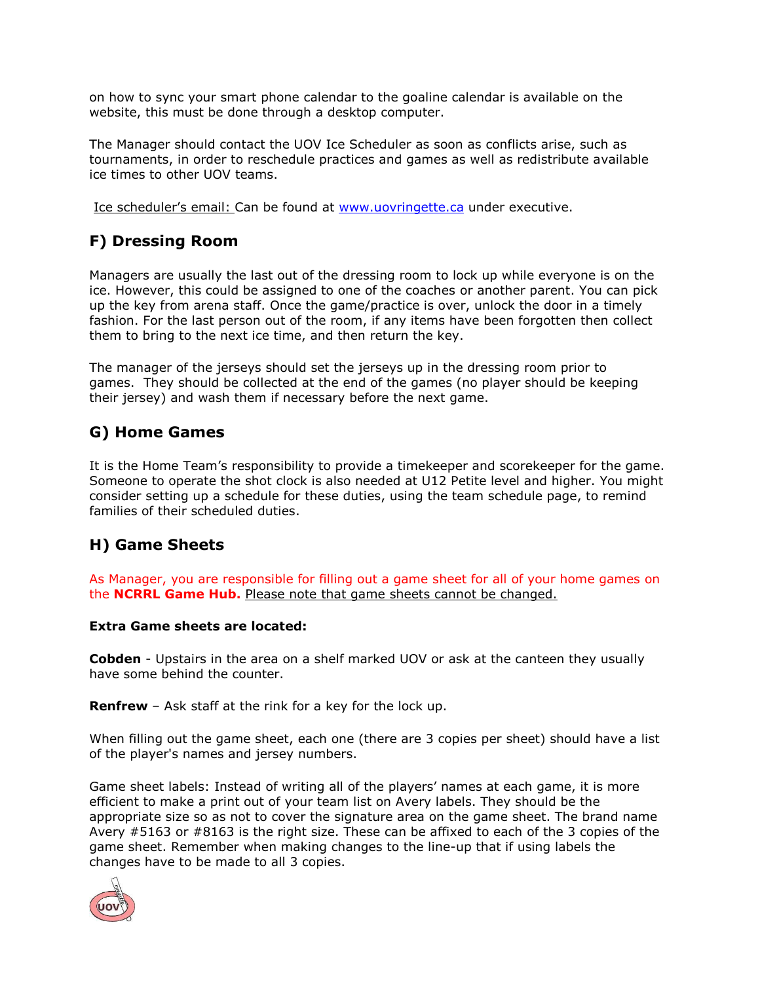on how to sync your smart phone calendar to the goaline calendar is available on the website, this must be done through a desktop computer.

The Manager should contact the UOV Ice Scheduler as soon as conflicts arise, such as tournaments, in order to reschedule practices and games as well as redistribute available ice times to other UOV teams.

Ice scheduler's email: Can be found at [www.uovringette.ca](http://www.uovringette.ca/) under executive.

# **F) Dressing Room**

Managers are usually the last out of the dressing room to lock up while everyone is on the ice. However, this could be assigned to one of the coaches or another parent. You can pick up the key from arena staff. Once the game/practice is over, unlock the door in a timely fashion. For the last person out of the room, if any items have been forgotten then collect them to bring to the next ice time, and then return the key.

The manager of the jerseys should set the jerseys up in the dressing room prior to games. They should be collected at the end of the games (no player should be keeping their jersey) and wash them if necessary before the next game.

## **G) Home Games**

It is the Home Team's responsibility to provide a timekeeper and scorekeeper for the game. Someone to operate the shot clock is also needed at U12 Petite level and higher. You might consider setting up a schedule for these duties, using the team schedule page, to remind families of their scheduled duties.

## **H) Game Sheets**

As Manager, you are responsible for filling out a game sheet for all of your home games on the **NCRRL Game Hub.** Please note that game sheets cannot be changed.

#### **Extra Game sheets are located:**

**Cobden** - Upstairs in the area on a shelf marked UOV or ask at the canteen they usually have some behind the counter.

**Renfrew** – Ask staff at the rink for a key for the lock up.

When filling out the game sheet, each one (there are 3 copies per sheet) should have a list of the player's names and jersey numbers.

Game sheet labels: Instead of writing all of the players' names at each game, it is more efficient to make a print out of your team list on Avery labels. They should be the appropriate size so as not to cover the signature area on the game sheet. The brand name Avery #5163 or #8163 is the right size. These can be affixed to each of the 3 copies of the game sheet. Remember when making changes to the line-up that if using labels the changes have to be made to all 3 copies.

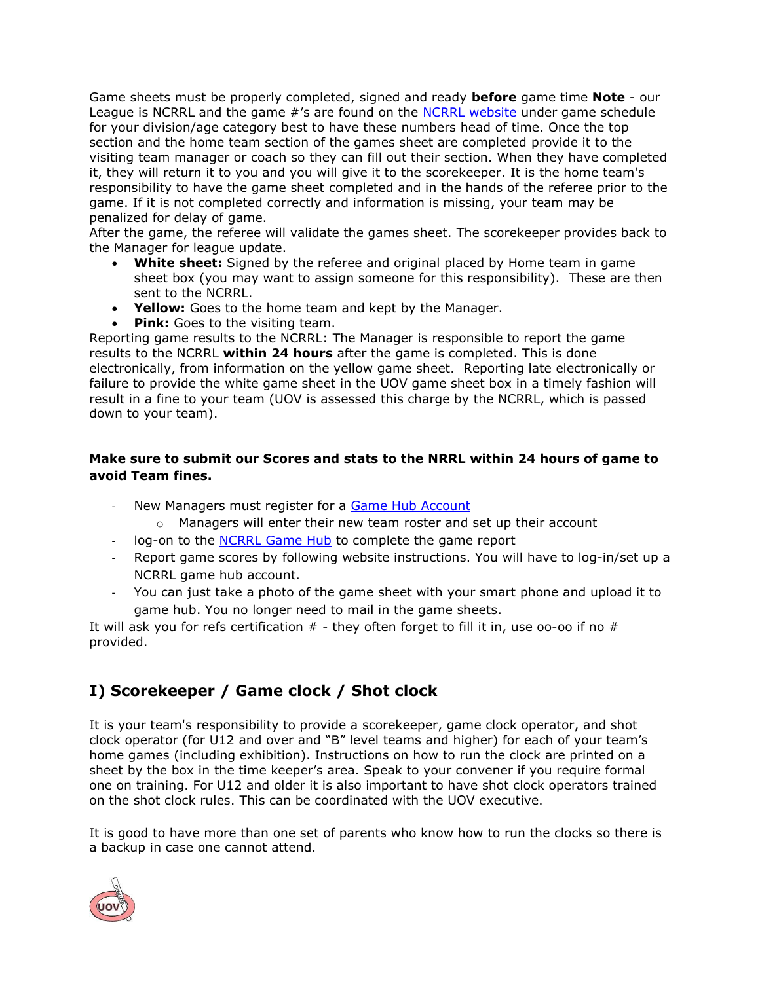Game sheets must be properly completed, signed and ready **before** game time **Note** - our League is NCRRL and the game #'s are found on the [NCRRL website](https://ncrrl.on.ca/division-schedules/) under game schedule for your division/age category best to have these numbers head of time. Once the top section and the home team section of the games sheet are completed provide it to the visiting team manager or coach so they can fill out their section. When they have completed it, they will return it to you and you will give it to the scorekeeper. It is the home team's responsibility to have the game sheet completed and in the hands of the referee prior to the game. If it is not completed correctly and information is missing, your team may be penalized for delay of game.

After the game, the referee will validate the games sheet. The scorekeeper provides back to the Manager for league update.

- **White sheet:** Signed by the referee and original placed by Home team in game sheet box (you may want to assign someone for this responsibility). These are then sent to the NCRRL.
- **Yellow:** Goes to the home team and kept by the Manager.
- **Pink:** Goes to the visiting team.

Reporting game results to the NCRRL: The Manager is responsible to report the game results to the NCRRL **within 24 hours** after the game is completed. This is done electronically, from information on the yellow game sheet. Reporting late electronically or failure to provide the white game sheet in the UOV game sheet box in a timely fashion will result in a fine to your team (UOV is assessed this charge by the NCRRL, which is passed down to your team).

## **Make sure to submit our Scores and stats to the NRRL within 24 hours of game to avoid Team fines.**

- New Managers must register for a [Game Hub Account](https://ncrrl.on.ca/report-games/)
	- $\circ$  Managers will enter their new team roster and set up their account
- log-on to the [NCRRL Game Hub](http://gamehub.ncrrl.on.ca/login) to complete the game report
- Report game scores by following website instructions. You will have to log-in/set up a NCRRL game hub account.
- You can just take a photo of the game sheet with your smart phone and upload it to game hub. You no longer need to mail in the game sheets.

It will ask you for refs certification  $#$  - they often forget to fill it in, use oo-oo if no  $#$ provided.

# **I) Scorekeeper / Game clock / Shot clock**

It is your team's responsibility to provide a scorekeeper, game clock operator, and shot clock operator (for U12 and over and "B" level teams and higher) for each of your team's home games (including exhibition). Instructions on how to run the clock are printed on a sheet by the box in the time keeper's area. Speak to your convener if you require formal one on training. For U12 and older it is also important to have shot clock operators trained on the shot clock rules. This can be coordinated with the UOV executive.

It is good to have more than one set of parents who know how to run the clocks so there is a backup in case one cannot attend.

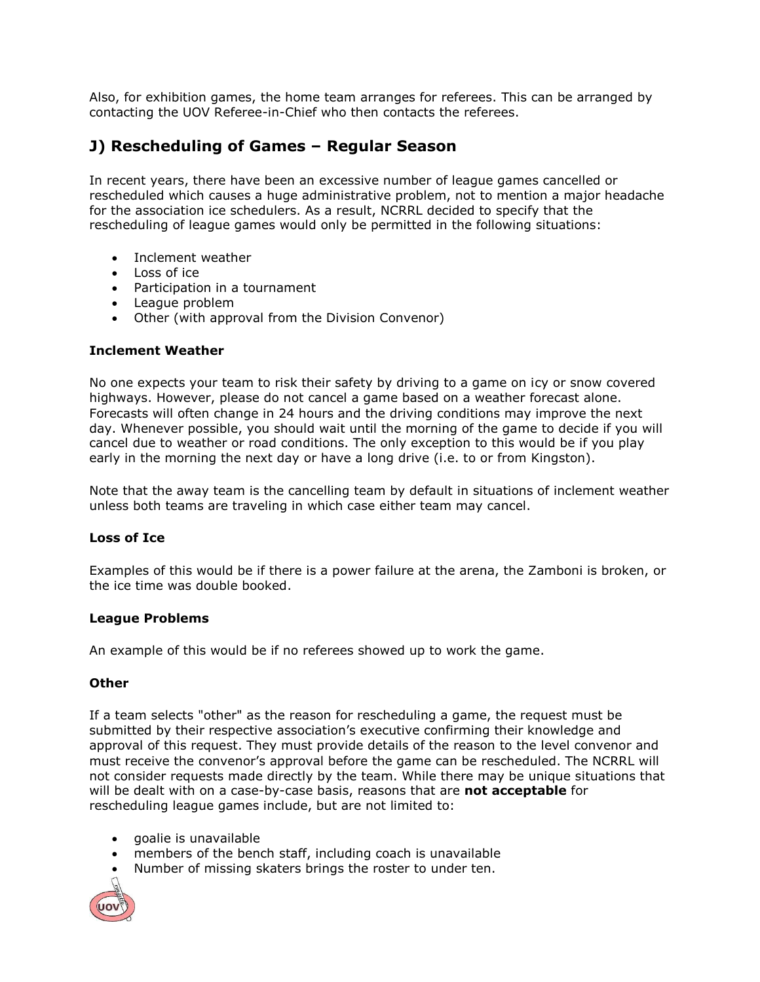Also, for exhibition games, the home team arranges for referees. This can be arranged by contacting the UOV Referee-in-Chief who then contacts the referees.

## **J) Rescheduling of Games – Regular Season**

In recent years, there have been an excessive number of league games cancelled or rescheduled which causes a huge administrative problem, not to mention a major headache for the association ice schedulers. As a result, NCRRL decided to specify that the rescheduling of league games would only be permitted in the following situations:

- Inclement weather
- $\cdot$  Loss of ice
- Participation in a tournament
- League problem
- Other (with approval from the Division Convenor)

#### **Inclement Weather**

No one expects your team to risk their safety by driving to a game on icy or snow covered highways. However, please do not cancel a game based on a weather forecast alone. Forecasts will often change in 24 hours and the driving conditions may improve the next day. Whenever possible, you should wait until the morning of the game to decide if you will cancel due to weather or road conditions. The only exception to this would be if you play early in the morning the next day or have a long drive (i.e. to or from Kingston).

Note that the away team is the cancelling team by default in situations of inclement weather unless both teams are traveling in which case either team may cancel.

#### **Loss of Ice**

Examples of this would be if there is a power failure at the arena, the Zamboni is broken, or the ice time was double booked.

#### **League Problems**

An example of this would be if no referees showed up to work the game.

#### **Other**

If a team selects "other" as the reason for rescheduling a game, the request must be submitted by their respective association's executive confirming their knowledge and approval of this request. They must provide details of the reason to the level convenor and must receive the convenor's approval before the game can be rescheduled. The NCRRL will not consider requests made directly by the team. While there may be unique situations that will be dealt with on a case-by-case basis, reasons that are **not acceptable** for rescheduling league games include, but are not limited to:

- goalie is unavailable
- members of the bench staff, including coach is unavailable
- Number of missing skaters brings the roster to under ten.

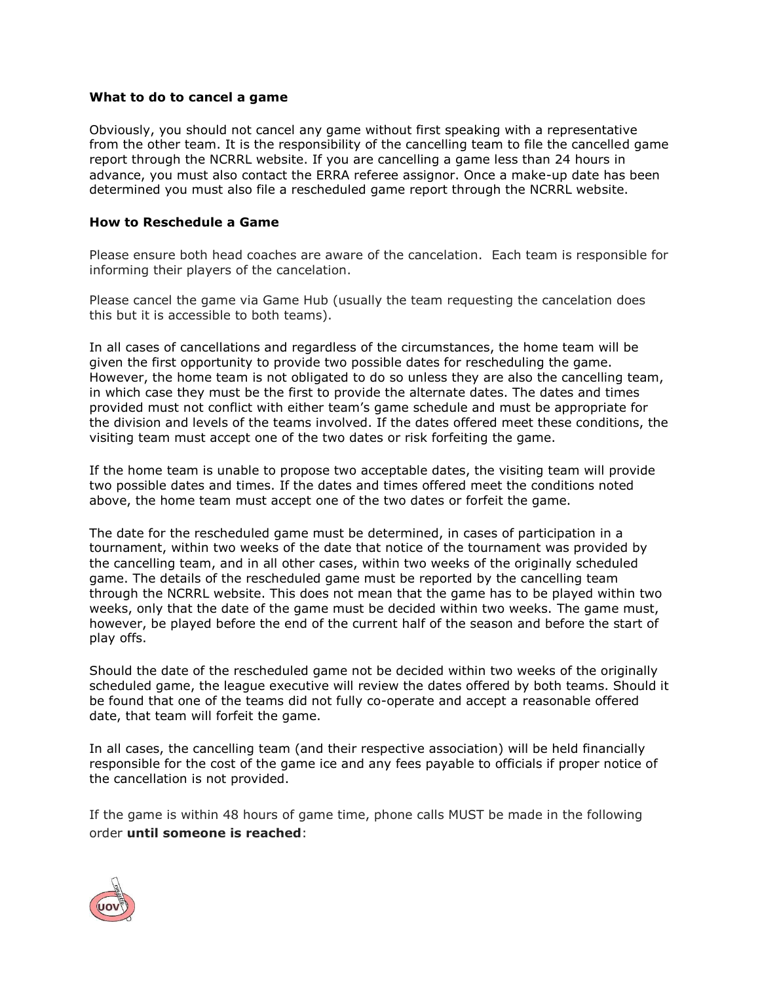#### **What to do to cancel a game**

Obviously, you should not cancel any game without first speaking with a representative from the other team. It is the responsibility of the cancelling team to file the cancelled game report through the NCRRL website. If you are cancelling a game less than 24 hours in advance, you must also contact the ERRA referee assignor. Once a make-up date has been determined you must also file a rescheduled game report through the NCRRL website.

#### **How to Reschedule a Game**

Please ensure both head coaches are aware of the cancelation. Each team is responsible for informing their players of the cancelation.

Please cancel the game via Game Hub (usually the team requesting the cancelation does this but it is accessible to both teams).

In all cases of cancellations and regardless of the circumstances, the home team will be given the first opportunity to provide two possible dates for rescheduling the game. However, the home team is not obligated to do so unless they are also the cancelling team, in which case they must be the first to provide the alternate dates. The dates and times provided must not conflict with either team's game schedule and must be appropriate for the division and levels of the teams involved. If the dates offered meet these conditions, the visiting team must accept one of the two dates or risk forfeiting the game.

If the home team is unable to propose two acceptable dates, the visiting team will provide two possible dates and times. If the dates and times offered meet the conditions noted above, the home team must accept one of the two dates or forfeit the game.

The date for the rescheduled game must be determined, in cases of participation in a tournament, within two weeks of the date that notice of the tournament was provided by the cancelling team, and in all other cases, within two weeks of the originally scheduled game. The details of the rescheduled game must be reported by the cancelling team through the NCRRL website. This does not mean that the game has to be played within two weeks, only that the date of the game must be decided within two weeks. The game must, however, be played before the end of the current half of the season and before the start of play offs.

Should the date of the rescheduled game not be decided within two weeks of the originally scheduled game, the league executive will review the dates offered by both teams. Should it be found that one of the teams did not fully co-operate and accept a reasonable offered date, that team will forfeit the game.

In all cases, the cancelling team (and their respective association) will be held financially responsible for the cost of the game ice and any fees payable to officials if proper notice of the cancellation is not provided.

If the game is within 48 hours of game time, phone calls MUST be made in the following order **until someone is reached**:

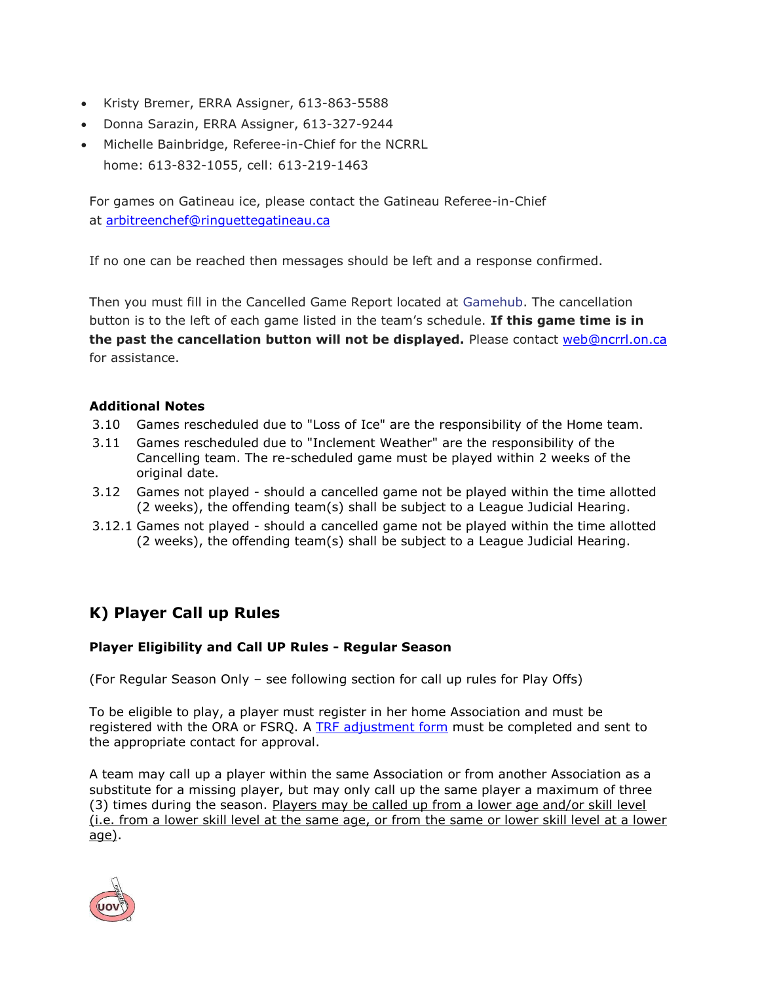- Kristy Bremer, ERRA Assigner, 613-863-5588
- Donna Sarazin, ERRA Assigner, 613-327-9244
- Michelle Bainbridge, Referee-in-Chief for the NCRRL home: 613-832-1055, cell: 613-219-1463

For games on Gatineau ice, please contact the Gatineau Referee-in-Chief at [arbitreenchef@ringuettegatineau.ca](mailto:arbitreenchef@ringuettegatineau.ca?subject=Game%20Cancellation)

If no one can be reached then messages should be left and a response confirmed.

Then you must fill in the Cancelled Game Report located at [Gamehub.](http://gamehub.ncrrl.on.ca/) The cancellation button is to the left of each game listed in the team's schedule. **If this game time is in the past the cancellation button will not be displayed.** Please contact [web@ncrrl.on.ca](mailto:web@ncrrl.on.ca) for assistance.

## **Additional Notes**

- 3.10 Games rescheduled due to "Loss of Ice" are the responsibility of the Home team.
- 3.11 Games rescheduled due to "Inclement Weather" are the responsibility of the Cancelling team. The re-scheduled game must be played within 2 weeks of the original date.
- 3.12 Games not played should a cancelled game not be played within the time allotted (2 weeks), the offending team(s) shall be subject to a League Judicial Hearing.
- 3.12.1 Games not played should a cancelled game not be played within the time allotted (2 weeks), the offending team(s) shall be subject to a League Judicial Hearing.

## **K) Player Call up Rules**

## **Player Eligibility and Call UP Rules - Regular Season**

(For Regular Season Only – see following section for call up rules for Play Offs)

To be eligible to play, a player must register in her home Association and must be registered with the ORA or FSRQ. A [TRF adjustment form](https://erra.goalline.ca/files/ncrrl_trf_adjustment_form.pdf) must be completed and sent to the appropriate contact for approval.

A team may call up a player within the same Association or from another Association as a substitute for a missing player, but may only call up the same player a maximum of three (3) times during the season. Players may be called up from a lower age and/or skill level (i.e. from a lower skill level at the same age, or from the same or lower skill level at a lower age).

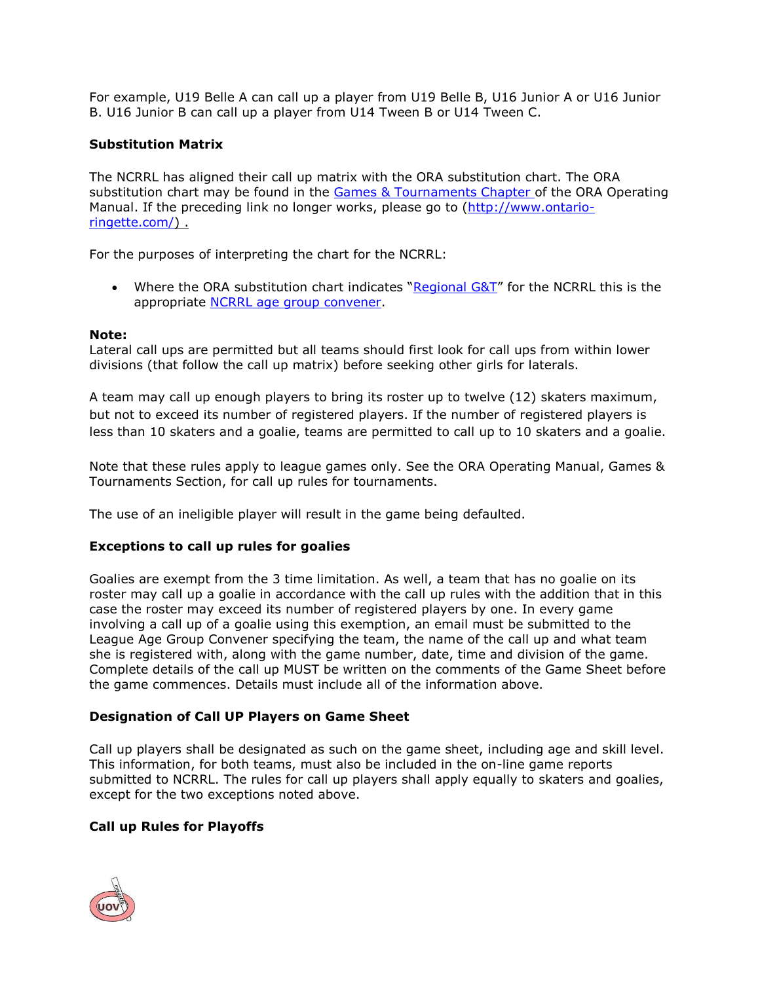For example, U19 Belle A can call up a player from U19 Belle B, U16 Junior A or U16 Junior B. U16 Junior B can call up a player from U14 Tween B or U14 Tween C.

#### **Substitution Matrix**

The NCRRL has aligned their call up matrix with the ORA substitution chart. The ORA substitution chart may be found in the [Games & Tournaments Chapter](http://www.ontario-ringette.com/wp-content/uploads/2016/11/7.-Games-and-Tournaments-09-2016.pdf) of the ORA Operating Manual. If the preceding link no longer works, please go to [\(http://www.ontario](http://www.ontario-ringette.com/)[ringette.com/\)](http://www.ontario-ringette.com/) .

For the purposes of interpreting the chart for the NCRRL:

• Where the ORA substitution chart indicates "Regional  $G&T''$  for the NCRRL this is the appropriate [NCRRL age group convener.](https://ncrrl.on.ca/info/ncrrl-executives/)

#### **Note:**

Lateral call ups are permitted but all teams should first look for call ups from within lower divisions (that follow the call up matrix) before seeking other girls for laterals.

A team may call up enough players to bring its roster up to twelve (12) skaters maximum, but not to exceed its number of registered players. If the number of registered players is less than 10 skaters and a goalie, teams are permitted to call up to 10 skaters and a goalie.

Note that these rules apply to league games only. See the ORA Operating Manual, Games & Tournaments Section, for call up rules for tournaments.

The use of an ineligible player will result in the game being defaulted.

#### **Exceptions to call up rules for goalies**

Goalies are exempt from the 3 time limitation. As well, a team that has no goalie on its roster may call up a goalie in accordance with the call up rules with the addition that in this case the roster may exceed its number of registered players by one. In every game involving a call up of a goalie using this exemption, an email must be submitted to the League Age Group Convener specifying the team, the name of the call up and what team she is registered with, along with the game number, date, time and division of the game. Complete details of the call up MUST be written on the comments of the Game Sheet before the game commences. Details must include all of the information above.

#### **Designation of Call UP Players on Game Sheet**

Call up players shall be designated as such on the game sheet, including age and skill level. This information, for both teams, must also be included in the on-line game reports submitted to NCRRL. The rules for call up players shall apply equally to skaters and goalies, except for the two exceptions noted above.

#### **Call up Rules for Playoffs**

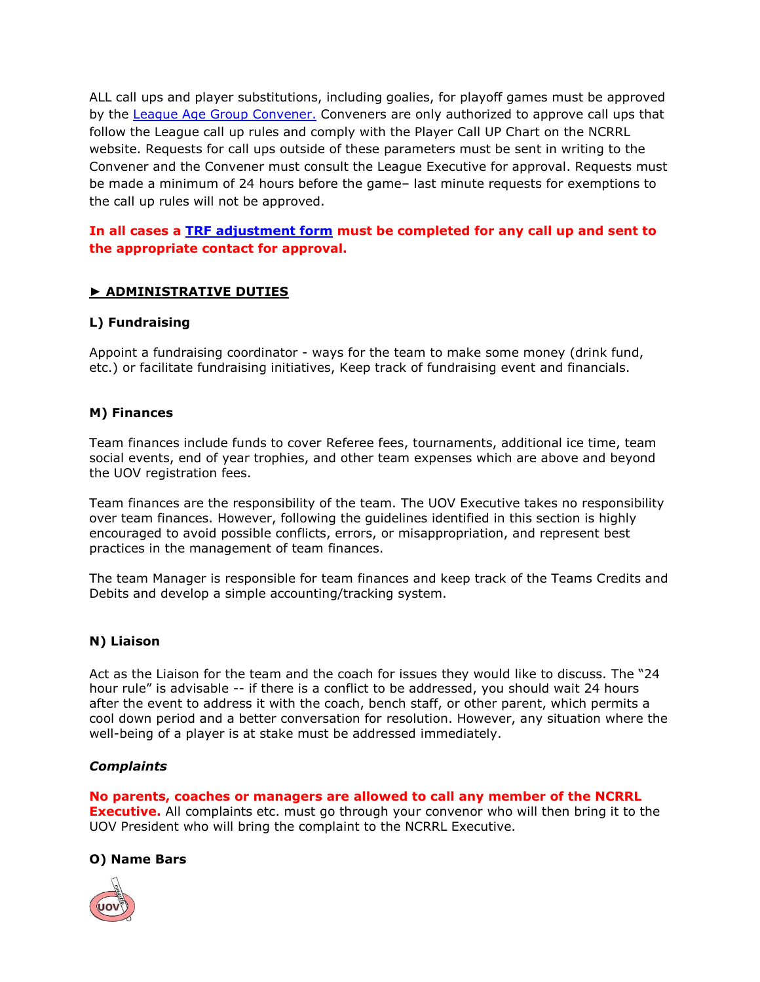ALL call ups and player substitutions, including goalies, for playoff games must be approved by the [League Age Group Convener.](https://ncrrl.on.ca/info/ncrrl-executives/) Conveners are only authorized to approve call ups that follow the League call up rules and comply with the Player Call UP Chart on the NCRRL website. Requests for call ups outside of these parameters must be sent in writing to the Convener and the Convener must consult the League Executive for approval. Requests must be made a minimum of 24 hours before the game– last minute requests for exemptions to the call up rules will not be approved.

## **In all cases a [TRF adjustment form](https://erra.goalline.ca/files/ncrrl_trf_adjustment_form.pdf) must be completed for any call up and sent to the appropriate contact for approval.**

## **► ADMINISTRATIVE DUTIES**

## **L) Fundraising**

Appoint a fundraising coordinator - ways for the team to make some money (drink fund, etc.) or facilitate fundraising initiatives, Keep track of fundraising event and financials.

## **M) Finances**

Team finances include funds to cover Referee fees, tournaments, additional ice time, team social events, end of year trophies, and other team expenses which are above and beyond the UOV registration fees.

Team finances are the responsibility of the team. The UOV Executive takes no responsibility over team finances. However, following the guidelines identified in this section is highly encouraged to avoid possible conflicts, errors, or misappropriation, and represent best practices in the management of team finances.

The team Manager is responsible for team finances and keep track of the Teams Credits and Debits and develop a simple accounting/tracking system.

## **N) Liaison**

Act as the Liaison for the team and the coach for issues they would like to discuss. The "24 hour rule" is advisable -- if there is a conflict to be addressed, you should wait 24 hours after the event to address it with the coach, bench staff, or other parent, which permits a cool down period and a better conversation for resolution. However, any situation where the well-being of a player is at stake must be addressed immediately.

#### *Complaints*

**No parents, coaches or managers are allowed to call any member of the NCRRL Executive.** All complaints etc. must go through your convenor who will then bring it to the UOV President who will bring the complaint to the NCRRL Executive.

## **O) Name Bars**

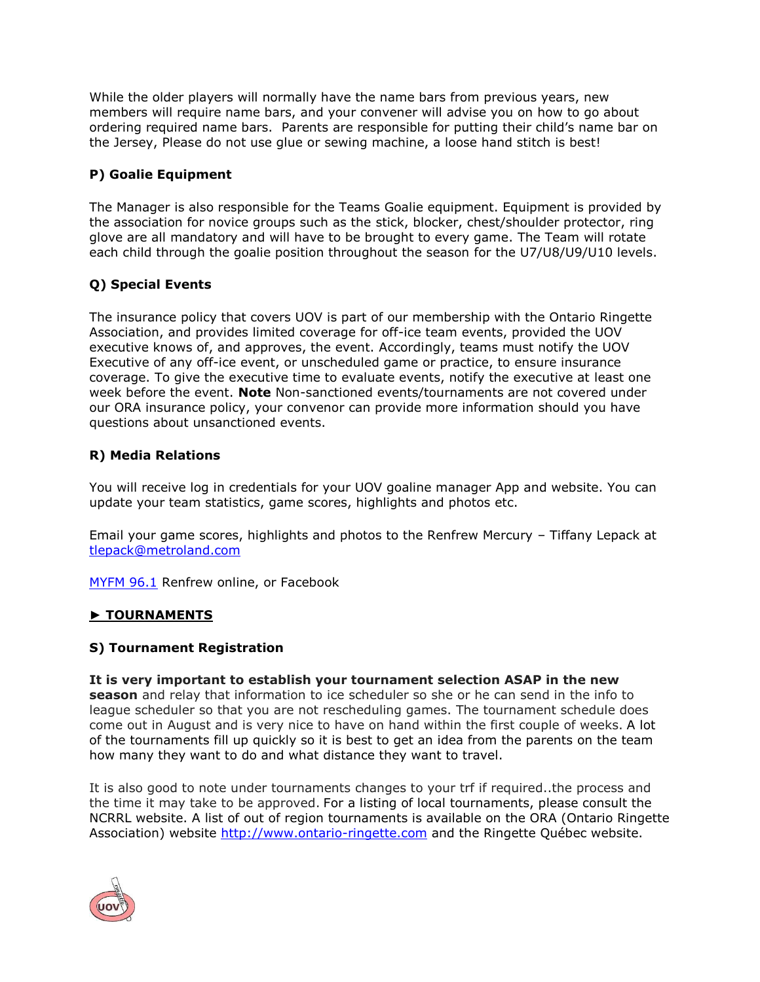While the older players will normally have the name bars from previous years, new members will require name bars, and your convener will advise you on how to go about ordering required name bars. Parents are responsible for putting their child's name bar on the Jersey, Please do not use glue or sewing machine, a loose hand stitch is best!

## **P) Goalie Equipment**

The Manager is also responsible for the Teams Goalie equipment. Equipment is provided by the association for novice groups such as the stick, blocker, chest/shoulder protector, ring glove are all mandatory and will have to be brought to every game. The Team will rotate each child through the goalie position throughout the season for the U7/U8/U9/U10 levels.

## **Q) Special Events**

The insurance policy that covers UOV is part of our membership with the Ontario Ringette Association, and provides limited coverage for off-ice team events, provided the UOV executive knows of, and approves, the event. Accordingly, teams must notify the UOV Executive of any off-ice event, or unscheduled game or practice, to ensure insurance coverage. To give the executive time to evaluate events, notify the executive at least one week before the event. **Note** Non-sanctioned events/tournaments are not covered under our ORA insurance policy, your convenor can provide more information should you have questions about unsanctioned events.

## **R) Media Relations**

You will receive log in credentials for your UOV goaline manager App and website. You can update your team statistics, game scores, highlights and photos etc.

Email your game scores, highlights and photos to the Renfrew Mercury – Tiffany Lepack at [tlepack@metroland.com](mailto:tlepack@metroland.com)

[MYFM 96.1](https://www.renfrewtoday.ca/submit-an-event/) Renfrew online, or Facebook

## **► TOURNAMENTS**

## **S) Tournament Registration**

**It is very important to establish your tournament selection ASAP in the new season** and relay that information to ice scheduler so she or he can send in the info to league scheduler so that you are not rescheduling games. The tournament schedule does come out in August and is very nice to have on hand within the first couple of weeks. A lot of the tournaments fill up quickly so it is best to get an idea from the parents on the team how many they want to do and what distance they want to travel.

It is also good to note under tournaments changes to your trf if required..the process and the time it may take to be approved. For a listing of local tournaments, please consult the NCRRL website. A list of out of region tournaments is available on the ORA (Ontario Ringette Association) website [http://www.ontario-ringette.com](http://www.ontario-ringette.com/) and the Ringette Québec website.

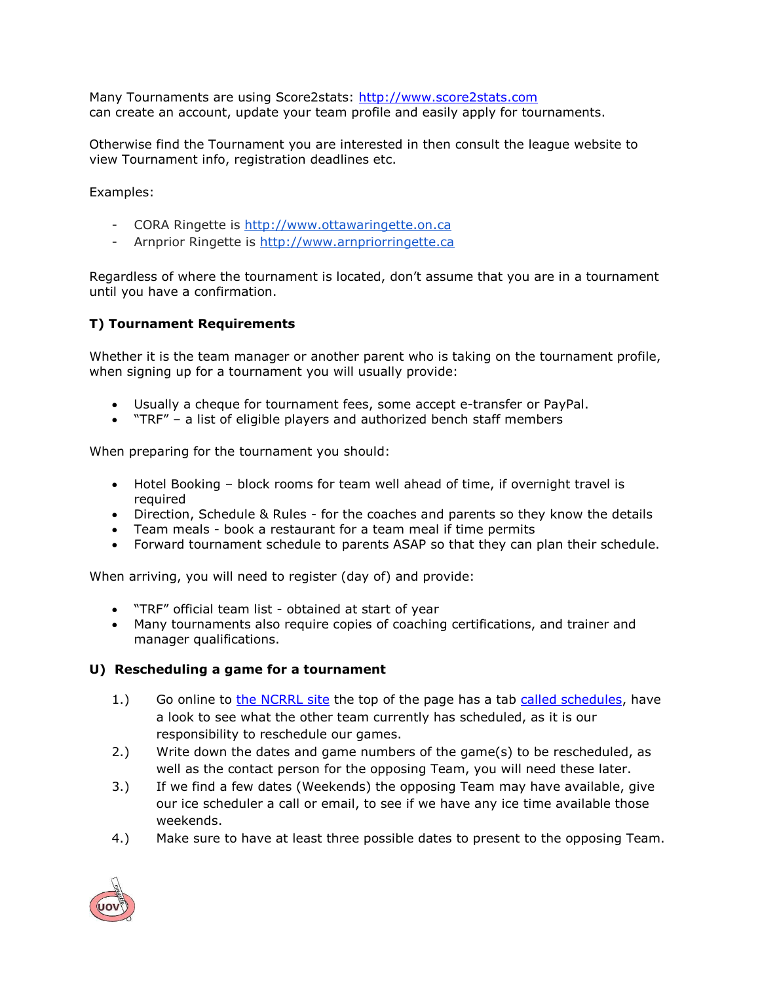Many Tournaments are using Score2stats: [http://www.score2stats.com](http://www.score2stats.com/)  can create an account, update your team profile and easily apply for tournaments.

Otherwise find the Tournament you are interested in then consult the league website to view Tournament info, registration deadlines etc.

Examples:

- CORA Ringette is [http://www.ottawaringette.on.ca](http://www.ottawaringette.on.ca/)
- Arnprior Ringette is [http://www.arnpriorringette.ca](http://www.arnpriorringette.ca/)

Regardless of where the tournament is located, don't assume that you are in a tournament until you have a confirmation.

## **T) Tournament Requirements**

Whether it is the team manager or another parent who is taking on the tournament profile, when signing up for a tournament you will usually provide:

- Usually a cheque for tournament fees, some accept e-transfer or PayPal.
- "TRF" a list of eligible players and authorized bench staff members

When preparing for the tournament you should:

- Hotel Booking block rooms for team well ahead of time, if overnight travel is required
- Direction, Schedule & Rules for the coaches and parents so they know the details
- Team meals book a restaurant for a team meal if time permits
- Forward tournament schedule to parents ASAP so that they can plan their schedule.

When arriving, you will need to register (day of) and provide:

- "TRF" official team list obtained at start of year
- Many tournaments also require copies of coaching certifications, and trainer and manager qualifications.

#### **U) Rescheduling a game for a tournament**

- 1.) Go online to [the NCRRL site](https://ncrrl.on.ca/) the top of the page has a tab [called schedules,](https://ncrrl.on.ca/division-schedules/) have a look to see what the other team currently has scheduled, as it is our responsibility to reschedule our games.
- 2.) Write down the dates and game numbers of the game(s) to be rescheduled, as well as the contact person for the opposing Team, you will need these later.
- 3.) If we find a few dates (Weekends) the opposing Team may have available, give our ice scheduler a call or email, to see if we have any ice time available those weekends.
- 4.) Make sure to have at least three possible dates to present to the opposing Team.

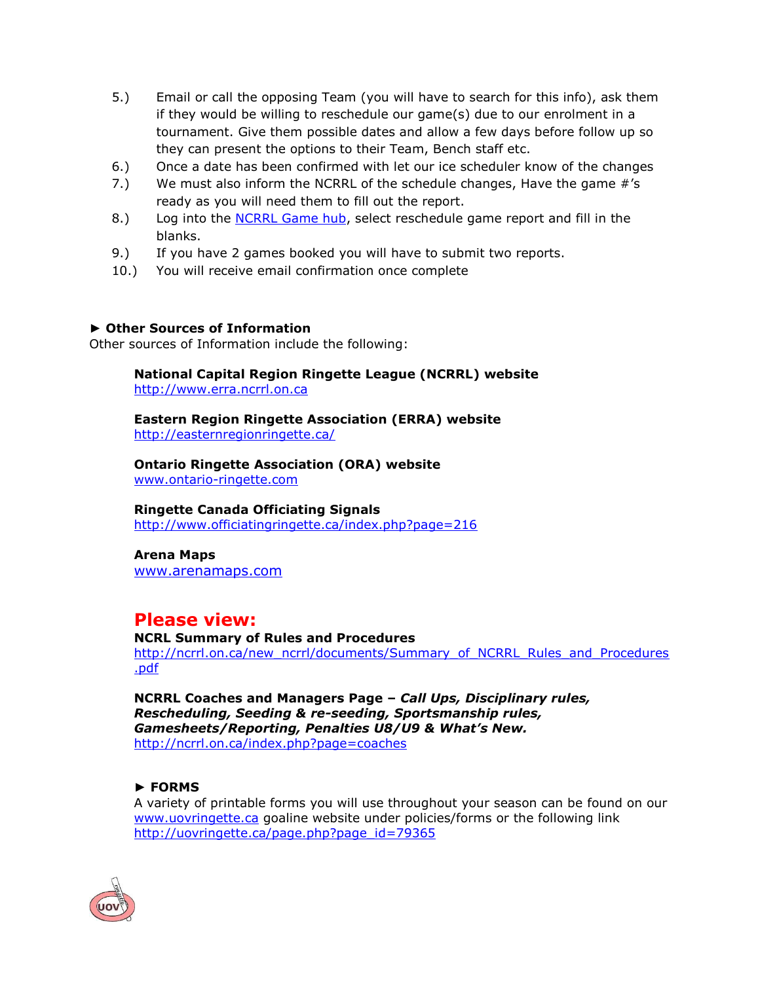- 5.) Email or call the opposing Team (you will have to search for this info), ask them if they would be willing to reschedule our game(s) due to our enrolment in a tournament. Give them possible dates and allow a few days before follow up so they can present the options to their Team, Bench staff etc.
- 6.) Once a date has been confirmed with let our ice scheduler know of the changes
- 7.) We must also inform the NCRRL of the schedule changes, Have the game #'s ready as you will need them to fill out the report.
- 8.) Log into the [NCRRL Game hub,](http://gamehub.ncrrl.on.ca/login) select reschedule game report and fill in the blanks.
- 9.) If you have 2 games booked you will have to submit two reports.
- 10.) You will receive email confirmation once complete

#### **► Other Sources of Information**

Other sources of Information include the following:

**National Capital Region Ringette League (NCRRL) website**  [http://www.erra.ncrrl.on.ca](http://www.erra.ncrrl.on.ca/)

**Eastern Region Ringette Association (ERRA) website** <http://easternregionringette.ca/>

**Ontario Ringette Association (ORA) website** www.ontario-ringette.com

## **Ringette Canada Officiating Signals**

<http://www.officiatingringette.ca/index.php?page=216>

**Arena Maps** [www.arenamaps.com](http://www.arenamaps.com/)

## **Please view:**

#### **NCRL Summary of Rules and Procedures**

[http://ncrrl.on.ca/new\\_ncrrl/documents/Summary\\_of\\_NCRRL\\_Rules\\_and\\_Procedures](http://ncrrl.on.ca/new_ncrrl/documents/Summary_of_NCRRL_Rules_and_Procedures.pdf) [.pdf](http://ncrrl.on.ca/new_ncrrl/documents/Summary_of_NCRRL_Rules_and_Procedures.pdf)

**NCRRL Coaches and Managers Page –** *Call Ups, Disciplinary rules, Rescheduling, Seeding & re-seeding, Sportsmanship rules, Gamesheets/Reporting, Penalties U8/U9 & What's New.* <http://ncrrl.on.ca/index.php?page=coaches>

## **► FORMS**

A variety of printable forms you will use throughout your season can be found on our [www.uovringette.ca](http://www.uovringette.ca/) goaline website under policies/forms or the following link [http://uovringette.ca/page.php?page\\_id=79365](http://uovringette.ca/page.php?page_id=79365)